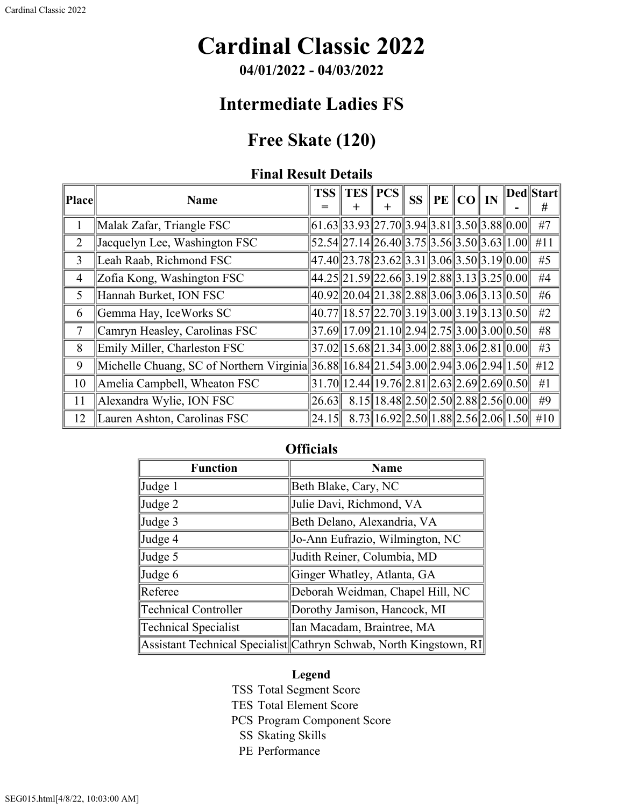# **Cardinal Classic 2022**

**04/01/2022 - 04/03/2022**

## **Intermediate Ladies FS**

### **Free Skate (120)**

### **Final Result Details**

| Place          | <b>Name</b>                                                                         | <b>TSS</b><br>=                                   | TES PCS                                                           | <b>SS</b> | $\ $ PE $\ $ CO $\ $ IN |  | Ded  Start  <br># |
|----------------|-------------------------------------------------------------------------------------|---------------------------------------------------|-------------------------------------------------------------------|-----------|-------------------------|--|-------------------|
|                | Malak Zafar, Triangle FSC                                                           |                                                   | $(61.63  33.93  27.70  3.94  3.81  3.50  3.88  0.00  $            |           |                         |  | #7                |
| $\overline{2}$ | Jacquelyn Lee, Washington FSC                                                       |                                                   | $52.54$   27.14  26.40  3.75  3.56  3.50  3.63  1.00              |           |                         |  | #11               |
| 3              | Leah Raab, Richmond FSC                                                             | 47.40  23.78  23.62  3.31  3.06  3.50  3.19  0.00 |                                                                   |           |                         |  | #5                |
| $\overline{4}$ | Zofia Kong, Washington FSC                                                          | 44.25  21.59  22.66  3.19  2.88  3.13  3.25  0.00 |                                                                   |           |                         |  | #4                |
| 5              | Hannah Burket, ION FSC                                                              |                                                   | $40.92$ $20.04$ $21.38$ $2.88$ $3.06$ $3.06$ $3.13$ $0.50$        |           |                         |  | #6                |
| 6              | Gemma Hay, IceWorks SC                                                              |                                                   | $40.77$    18.57    22.70    3.19    3.00    3.19    3.13    0.50 |           |                         |  | #2                |
| $\overline{7}$ | Camryn Heasley, Carolinas FSC                                                       |                                                   | $37.69$   17.09   21.10   2.94   2.75   3.00   3.00   0.50        |           |                         |  | #8                |
| 8              | Emily Miller, Charleston FSC                                                        |                                                   | $37.02$   15.68  21.34  3.00  2.88  3.06  2.81  0.00              |           |                         |  | #3                |
| 9              | Michelle Chuang, SC of Northern Virginia 36.88 16.84 21.54 3.00 2.94 3.06 2.94 1.50 |                                                   |                                                                   |           |                         |  | #12               |
| 10             | Amelia Campbell, Wheaton FSC                                                        |                                                   | $31.70$   12.44  19.76  2.81  2.63  2.69  2.69  0.50              |           |                         |  | #1                |
| 11             | Alexandra Wylie, ION FSC                                                            | 26.63                                             | $8.15$   18.48  2.50  2.50  2.88  2.56  0.00                      |           |                         |  | #9                |
| 12             | Lauren Ashton, Carolinas FSC                                                        | 24.15                                             | $8.73$   16.92  2.50  1.88  2.56  2.06  1.50                      |           |                         |  | #10               |

### **Officials**

| <b>Function</b>      | <b>Name</b>                                                        |  |  |  |  |
|----------------------|--------------------------------------------------------------------|--|--|--|--|
| Judge 1              | Beth Blake, Cary, NC                                               |  |  |  |  |
| Judge 2              | Julie Davi, Richmond, VA                                           |  |  |  |  |
| Judge 3              | Beth Delano, Alexandria, VA                                        |  |  |  |  |
| Judge 4              | Jo-Ann Eufrazio, Wilmington, NC                                    |  |  |  |  |
| Judge 5              | Judith Reiner, Columbia, MD                                        |  |  |  |  |
| Judge 6              | Ginger Whatley, Atlanta, GA                                        |  |  |  |  |
| Referee              | Deborah Weidman, Chapel Hill, NC                                   |  |  |  |  |
| Technical Controller | Dorothy Jamison, Hancock, MI                                       |  |  |  |  |
| Technical Specialist | Ian Macadam, Braintree, MA                                         |  |  |  |  |
|                      | Assistant Technical Specialist Cathryn Schwab, North Kingstown, RI |  |  |  |  |

#### **Legend**

- TSS Total Segment Score
- TES Total Element Score
- PCS Program Component Score
	- SS Skating Skills
	- PE Performance